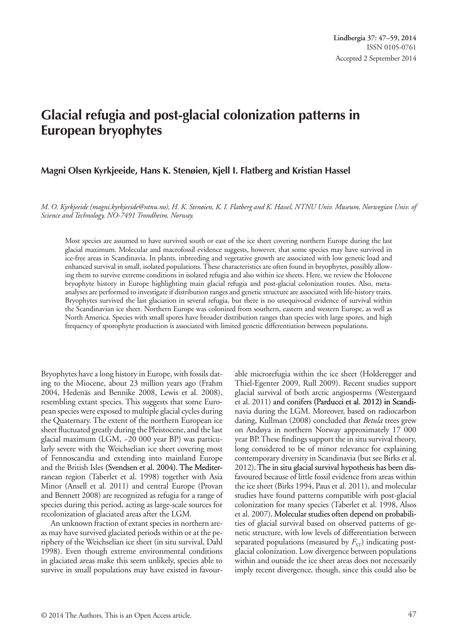**Lindbergia 37: 47–59, 2014** ISSN 0105-0761 Accepted 2 September 2014

# **Glacial refugia and post-glacial colonization patterns in European bryophytes**

### **Magni Olsen Kyrkjeeide, Hans K. Stenøien, Kjell I. Flatberg and Kristian Hassel**

*M. O. Kyrkjeeide (magni.kyrkjeeide@ntnu.no), H. K. Stenøien, K. I. Flatberg and K. Hassel, NTNU Univ. Museum, Norwegian Univ. of Science and Technology, NO-7491 Trondheim, Norway.*

Most species are assumed to have survived south or east of the ice sheet covering northern Europe during the last glacial maximum. Molecular and macrofossil evidence suggests, however, that some species may have survived in ice-free areas in Scandinavia. In plants, inbreeding and vegetative growth are associated with low genetic load and enhanced survival in small, isolated populations. These characteristics are often found in bryophytes, possibly allowing them to survive extreme conditions in isolated refugia and also within ice sheets. Here, we review the Holocene bryophyte history in Europe highlighting main glacial refugia and post-glacial colonization routes. Also, metaanalyses are performed to investigate if distribution ranges and genetic structure are associated with life-history traits. Bryophytes survived the last glaciation in several refugia, but there is no unequivocal evidence of survival within the Scandinavian ice sheet. Northern Europe was colonized from southern, eastern and western Europe, as well as North America. Species with small spores have broader distribution ranges than species with large spores, and high frequency of sporophyte production is associated with limited genetic differentiation between populations.

Bryophytes have a long history in Europe, with fossils dating to the Miocene, about 23 million years ago (Frahm 2004, Hedenäs and Bennike 2008, Lewis et al. 2008), resembling extant species. This suggests that some European species were exposed to multiple glacial cycles during the Quaternary. The extent of the northern European ice sheet fluctuated greatly during the Pleistocene, and the last glacial maximum (LGM, ~20 000 year BP) was particularly severe with the Weichselian ice sheet covering most of Fennoscandia and extending into mainland Europe and the British Isles (Svendsen et al. 2004). The Mediterranean region (Taberlet et al. 1998) together with Asia Minor (Ansell et al. 2011) and central Europe (Provan and Bennett 2008) are recognized as refugia for a range of species during this period, acting as large-scale sources for recolonization of glaciated areas after the LGM.

An unknown fraction of extant species in northern areas may have survived glaciated periods within or at the periphery of the Weichselian ice sheet (in situ survival, Dahl 1998). Even though extreme environmental conditions in glaciated areas make this seem unlikely, species able to survive in small populations may have existed in favourable microrefugia within the ice sheet (Holderegger and Thiel-Egenter 2009, Rull 2009). Recent studies support glacial survival of both arctic angiosperms (Westergaard et al. 2011) and conifers (Parducci et al. 2012) in Scandinavia during the LGM. Moreover, based on radiocarbon dating, Kullman (2008) concluded that *Betula* trees grew on Andøya in northern Norway approximately 17 000 year BP. These findings support the in situ survival theory, long considered to be of minor relevance for explaining contemporary diversity in Scandinavia (but see Birks et al. 2012). The in situ glacial survival hypothesis has been disfavoured because of little fossil evidence from areas within the ice sheet (Birks 1994, Paus et al. 2011), and molecular studies have found patterns compatible with post-glacial colonization for many species (Taberlet et al. 1998, Alsos et al. 2007). Molecular studies often depend on probabilities of glacial survival based on observed patterns of genetic structure, with low levels of differentiation between separated populations (measured by  $F_{ST}$ ) indicating postglacial colonization. Low divergence between populations within and outside the ice sheet areas does not necessarily imply recent divergence, though, since this could also be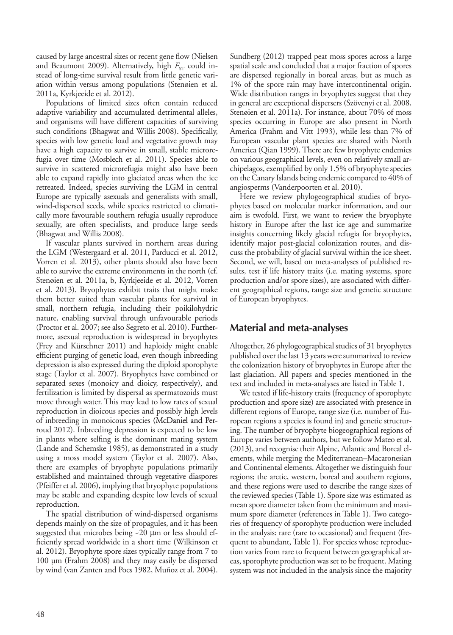caused by large ancestral sizes or recent gene flow (Nielsen and Beaumont 2009). Alternatively, high  $F_{ST}$  could instead of long-time survival result from little genetic variation within versus among populations (Stenøien et al. 2011a, Kyrkjeeide et al. 2012).

Populations of limited sizes often contain reduced adaptive variability and accumulated detrimental alleles, and organisms will have different capacities of surviving such conditions (Bhagwat and Willis 2008). Specifically, species with low genetic load and vegetative growth may have a high capacity to survive in small, stable microrefugia over time (Mosblech et al. 2011). Species able to survive in scattered microrefugia might also have been able to expand rapidly into glaciated areas when the ice retreated. Indeed, species surviving the LGM in central Europe are typically asexuals and generalists with small, wind-dispersed seeds, while species restricted to climatically more favourable southern refugia usually reproduce sexually, are often specialists, and produce large seeds (Bhagwat and Willis 2008).

If vascular plants survived in northern areas during the LGM (Westergaard et al. 2011, Parducci et al. 2012, Vorren et al. 2013), other plants should also have been able to survive the extreme environments in the north (cf. Stenøien et al. 2011a, b, Kyrkjeeide et al. 2012, Vorren et al. 2013). Bryophytes exhibit traits that might make them better suited than vascular plants for survival in small, northern refugia, including their poikilohydric nature, enabling survival through unfavourable periods (Proctor et al. 2007; see also Segreto et al. 2010). Furthermore, asexual reproduction is widespread in bryophytes (Frey and Kürschner 2011) and haploidy might enable efficient purging of genetic load, even though inbreeding depression is also expressed during the diploid sporophyte stage (Taylor et al. 2007). Bryophytes have combined or separated sexes (monoicy and dioicy, respectively), and fertilization is limited by dispersal as spermatozoids must move through water. This may lead to low rates of sexual reproduction in dioicous species and possibly high levels of inbreeding in monoicous species (McDaniel and Perroud 2012). Inbreeding depression is expected to be low in plants where selfing is the dominant mating system (Lande and Schemske 1985), as demonstrated in a study using a moss model system (Taylor et al. 2007). Also, there are examples of bryophyte populations primarily established and maintained through vegetative diaspores (Pfeiffer et al. 2006), implying that bryophyte populations may be stable and expanding despite low levels of sexual reproduction.

The spatial distribution of wind-dispersed organisms depends mainly on the size of propagules, and it has been suggested that microbes being ~20 μm or less should efficiently spread worldwide in a short time (Wilkinson et al. 2012). Bryophyte spore sizes typically range from 7 to 100 µm (Frahm 2008) and they may easily be dispersed by wind (van Zanten and Pocs 1982, Muñoz et al. 2004). Sundberg (2012) trapped peat moss spores across a large spatial scale and concluded that a major fraction of spores are dispersed regionally in boreal areas, but as much as 1% of the spore rain may have intercontinental origin. Wide distribution ranges in bryophytes suggest that they in general are exceptional dispersers (Szövenyi et al. 2008, Stenøien et al. 2011a). For instance, about 70% of moss species occurring in Europe are also present in North America (Frahm and Vitt 1993), while less than 7% of European vascular plant species are shared with North America (Qian 1999). There are few bryophyte endemics on various geographical levels, even on relatively small archipelagos, exemplified by only 1.5% of bryophyte species on the Canary Islands being endemic compared to 40% of angiosperms (Vanderpoorten et al. 2010).

Here we review phylogeographical studies of bryophytes based on molecular marker information, and our aim is twofold. First, we want to review the bryophyte history in Europe after the last ice age and summarize insights concerning likely glacial refugia for bryophytes, identify major post-glacial colonization routes, and discuss the probability of glacial survival within the ice sheet. Second, we will, based on meta-analyses of published results, test if life history traits (i.e. mating systems, spore production and/or spore sizes), are associated with different geographical regions, range size and genetic structure of European bryophytes.

# **Material and meta-analyses**

Altogether, 26 phylogeographical studies of 31 bryophytes published over the last 13 years were summarized to review the colonization history of bryophytes in Europe after the last glaciation. All papers and species mentioned in the text and included in meta-analyses are listed in Table 1.

We tested if life-history traits (frequency of sporophyte production and spore size) are associated with presence in different regions of Europe, range size (i.e. number of European regions a species is found in) and genetic structuring. The number of bryophyte biogeographical regions of Europe varies between authors, but we follow Mateo et al. (2013), and recognise their Alpine, Atlantic and Boreal elements, while merging the Mediterranean–Macaronesian and Continental elements. Altogether we distinguish four regions; the arctic, western, boreal and southern regions, and these regions were used to describe the range sizes of the reviewed species (Table 1). Spore size was estimated as mean spore diameter taken from the minimum and maximum spore diameter (references in Table 1). Two categories of frequency of sporophyte production were included in the analysis: rare (rare to occasional) and frequent (frequent to abundant, Table 1). For species whose reproduction varies from rare to frequent between geographical areas, sporophyte production was set to be frequent. Mating system was not included in the analysis since the majority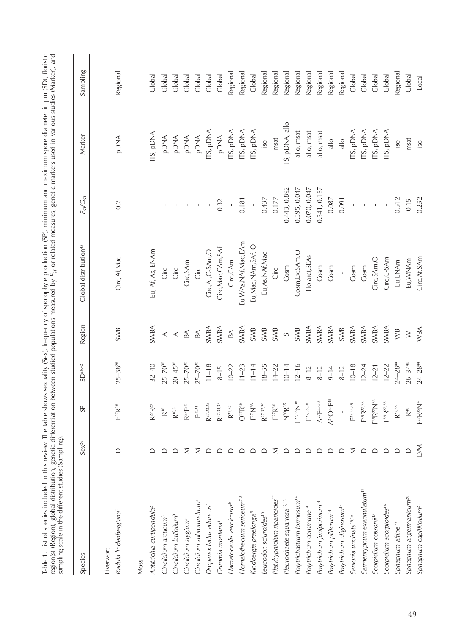| Species                                 | $Sex^{26}$ | S <sub>0</sub>                     | $SD^{26,42}$   | Region                   | Global distribution <sup>45</sup> | $F_{\rm sf}/G_{\rm ST}$ | Marker          | Sampling |
|-----------------------------------------|------------|------------------------------------|----------------|--------------------------|-----------------------------------|-------------------------|-----------------|----------|
| Radula lindenbergiana'<br>Liverwort     | ≏          | $F^{27}R^{28}$                     | $25 - 38^{28}$ | <b>SWB</b>               | Circ, Af, Mac                     | 0.2                     | <b>PDNA</b>     | Regional |
| Moss                                    |            |                                    |                |                          |                                   |                         |                 |          |
| Antitrichia curtipendula <sup>2</sup>   |            | $R^{27}R^{29}$                     | $32 - 40$      | SWBA                     | Eu, Af, As, ENAm                  |                         | ITS, pDNA       | Global   |
| Cinclidium arcticum <sup>3</sup>        | ▭          | $\mathsf{R}^{30}$                  | $25 - 70^{30}$ | $\prec$                  | Circ                              |                         | <b>PDNA</b>     | Global   |
| Cinclidium latifolium <sup>3</sup>      | ≏          | $\mathsf{R}^{30,31}$               | $20 - 45^{30}$ | $\prec$                  | Circ                              |                         | <b>ANG</b>      | Global   |
| Cinclidium stygium <sup>3</sup>         | Σ          | $R^{27}F^{30}$                     | $25 - 70^{30}$ | $\mathbbm{B} \mathbb{A}$ | Circ, SAm                         | $\mathbf{I}$            | <b>PDNA</b>     | Global   |
| Cinclidium subrotundrum <sup>3</sup>    | Σ          | $\mathsf{F}^{30,31}$               | $-5 - 70^{30}$ | $\mathbbm{B} \mathbb{A}$ | Circ                              | $\mathbf{I}$            | <b>PDNA</b>     | Global   |
| Drepanocladus aduncus <sup>4</sup>      | ≏          | $R^{27,32,33}$                     | $11 - 18$      | SWBA                     | Circ, Af, C-SAm, O                | $\mathbf{r}$            | ITS, pDNA       | Global   |
| Grimmia montana <sup>5</sup>            | $\Box$     | $R^{27,34,35}$                     | $8 - 15$       | SWBA                     | Circ, Mac, CAm, SAf               | 0.32                    | <b>ANQd</b>     | Global   |
| Hamatocaulis vernicosus <sup>6</sup>    | $\Box$     | $\mathsf{R}^{27,32}$               | $10 - 22$      | $B\triangle$             | Circ, CAm                         | $\bar{\phantom{a}}$     | TS, pDNA        | Regiona  |
| Homalothecium sericeum <sup>7,8</sup>   | $\Box$     | $O^{27}R^{36}$                     | $11 - 23$      | SWBA                     | Eu, WAs, NAf, Mac, EAm            | 0.181                   | ITS, pDNA       | Regional |
| Kindbergia praelonga                    | ≏          | $\mathbb{R}^{27}\mathbb{N}^{36}$   | $11 - 14$      | SWB                      | Eu, Mac, NAm, SAf, O              |                         | ITS, pDNA       | Global   |
| Leucodon sciuroides <sup>10</sup>       | ≏          | $R^{27,37,29}$                     | $18 - 55$      | SWB                      | Eu, As, NAf, Mac                  | 0.437                   | $\overline{0}$  | Regional |
| Platyhypnidium riparioides"             | Σ          | $\mathsf{F}^{27}\mathsf{R}^{36}$   | $14 - 22$      | SWB                      | Circ                              | 0.177                   | msat            | Regional |
| Pleurochaete squarrosa <sup>12,13</sup> | $\Box$     | $N^{30}R^{35}$                     | $10 - 14$      | $\circ$                  | Cosm                              | 0.443, 0.892            | ITS, pDNA, allo | Regional |
| Polytrichastrum formosum <sup>14</sup>  | $\Box$     | $27,35$ $N$ <sup>38</sup>          | $12 - 16$      | <b>SWB</b>               | Cosm, Ex:SAm, O                   | 0.395, 0.047            | allo, msat      | Regional |
| Polytrichum commune <sup>14</sup>       | $\Box$     | $E^{27,35,38}$                     | $8-12$         | SWBA                     | Holarct, SEAs                     | 0.070, 0.047            | allo, msat      | Regional |
| Polytrichum juniperinum <sup>14</sup>   | $\Box$     | $A^{27}F^{35,38}$                  | $8-12$         | SWBA                     | Cosm                              | 0.341, 0.167            | allo, msat      | Regional |
| Polytrichum piliferum <sup>14</sup>     | $\Box$     | $A^{27}O^{35}F^{38}$               | $9 - 14$       | SWBA                     | Cosm                              | 0.087                   | $\frac{1}{10}$  | Regional |
| Polytrichum uliginosum14                | $\Box$     |                                    | $8 - 12$       | SWB                      |                                   | 0.091                   | $\frac{1}{10}$  | Regional |
| Sanionia uncinata <sup>15,16</sup>      | Σ          | F27, 33, 39                        | $10 - 18$      | SWBA                     | Cosm                              | $\mathbf I$             | ITS, pDNA       | Global   |
| Sarmentypnum exannulatum <sup>17</sup>  | $\Box$     | F39R27,33                          | $12 - 24$      | SWBA                     | Cosm                              |                         | TS, pDNA        | Global   |
| Scorpidium cossonii <sup>18</sup>       | $\Box$     | $-39R^{27}N^{33}$                  | $12 - 21$      | SWBA                     | Circ, SAm, O                      | $\,$                    | TS, pDNA        | Global   |
| Scorpidium scorpioides <sup>18</sup>    | ≏          | F <sup>39</sup> R <sup>27,33</sup> | $12 - 22$      | SWBA                     | Circ, C-SAm                       |                         | ITS, pDNA       | Global   |
| Sphagnum affine <sup>19</sup>           |            | $\mathsf{R}^{27,35}$               | $24 - 284$     | $W\overline{B}$          | Eu, ENAm                          | 0.512                   | $\overline{0}$  | Regiona  |
| Sphagnum angermanicum <sup>20</sup>     |            | $\mathsf{R}^{40}$                  | $26 - 34^{40}$ | $\geq$                   | Eu, WNAm                          | 0.15                    | msat            | Global   |
| Sphagnum capillifolium <sup>21</sup>    | MQ         | $F^{27}R^{35}N^{41}$               | $24 - 284$     | WBA                      | Circ, Af, SAm                     | 0.252                   | iso             | Local    |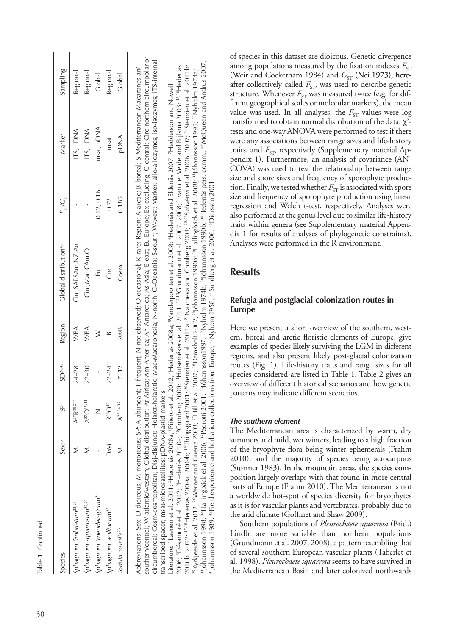| ı |
|---|
|   |
|   |
|   |
|   |

| Species                               | $Sex^{26}$  | <b>SP</b>             | $\mathbb{SD}^{26,42}$ | Region     | <b>Clobal distribution<sup>45</sup></b>                                                                                                                                                                                        | $F_{\rm ST}/G_{\rm ST}$ | Marker      | Sampling |
|---------------------------------------|-------------|-----------------------|-----------------------|------------|--------------------------------------------------------------------------------------------------------------------------------------------------------------------------------------------------------------------------------|-------------------------|-------------|----------|
| Sphagnum fimbriatum <sup>22,23</sup>  |             | $A^{27}R^{35}F^{41}$  | $24 - 28^{44}$        | WBA        | Circ, SAf, SAm, NZ, An                                                                                                                                                                                                         |                         | ITS, nDNA   | Regional |
| Sphagnum squarrosum <sup>22,23</sup>  |             | $A^{27}O^{35,41}$     | $22 - 3044$           | <b>WBA</b> | Circ, Mac, CAm, O                                                                                                                                                                                                              |                         | ITS, nDNA   | Regional |
| Sphagnum troendelagicum <sup>24</sup> |             |                       |                       |            | 급                                                                                                                                                                                                                              | 0.12, 0.16              | msat, pDNA  | Global   |
| iphagnum wulfianum <sup>25</sup>      | $\geqslant$ | $R^{28}O^{42}$        | $22 - 244$            |            | ΰË                                                                                                                                                                                                                             | 0.72                    | msat        | Regional |
| Tortula muralis <sup>26</sup>         |             | A <sub>27,34,35</sub> | $7 - 12$              | <b>SWB</b> | Cosm                                                                                                                                                                                                                           | 0.185                   | <b>PDNA</b> | Global   |
|                                       |             |                       |                       |            | المدامية المستحد والمستخد المستحل المتحد والمستخدم المستخدم والمستخدم والمستحد المستخدم المستخدم والمستخدم والمستخدم والمستخدم والمستخدم والمستخدم والمستخدم والمستخدم والمستخدم والمستخدم والمستخدم والمستخدم والمستخدم والمس |                         |             |          |

southern/central; W-atlantic/western; Global distribution: Af-Africa; Am-America; An-Antarctica; As-Asia; E-east; Eu-Europe; Ex-excluding; C-central; Circ-northern circumpolar or southern/central; W-atlantic/western; Global distribution: Af-Africa; Am-America; An-Antarctica; As-Asia; E-east; Eu-Europe; Ex-excluding; C-central; Circ-northern circumpolar or circumboreal; Cosm-cosmopolitan; Disj-disjunct; Holarct-holarctic; Mac-Macaronesia; N-north; O-Oceania; S-south; W-west; Marker: allo-allozymes; iso-isozymes; ITS-internal circumboreal; Cosm-cosmopolitan; Disj-disjunct; Holarct-holarctic; Mac-Macaronesia; N-north; O-Oceania; S-south; W-west; Marker: allo-allozymes; iso-isozymes; ITS-internal Арания и У-2 или 2010 или 2010 или 2010 или 2010 или 2010 или 2010 или 2010 или 2010 или 2010 или 2010 или 2010 или 2010 или 2010 или 2010 или 2010 или 2010 или 2010 или 2010 или 2010 или 2010 или 2010 или 2010 или 2010 и Abbreviations: Sex: D-dioicous; M-monoicous; SP: A-abundant; F-frequent; N-not observed; O-occasional; R-rare; Region: A-arctic; B-boreal; S-Mediterranean-Macaronesian/ transcribed spacer; msat-microsatellites; pDNA-plastid markers transcribed spacer; msat-microsatellites; pDNA-plastid markers

33Jóhannsson 1998; 34Hallingbäck et al. 2006; <sup>38</sup>Pedrotti 2001; <sup>36</sup>Jóhannsson1997; <sup>37</sup>Nyholm 1974b; <sup>39</sup>Jóhannsson 1990b; <sup>39</sup>Hedenäs pers. comm.; <sup>40</sup>McQueen and Andrus 2007; 36hannsson 1998; 34Hallingbäck et al. 2006; <sup>35</sup>Pedrotti 2001; <sup>36</sup>Jóhannsson1997; <sup>37</sup>Nyholm 1974b; <sup>39</sup>Jóhannsson 1990b; <sup>39</sup>Hedenäs pers. comm.; <sup>40</sup>McQueen and Andrus 2007; 39 Here and Andrus 2007; 2006; 8Désamoré et al. 2012; 9Hedenäs 2010a; 10Cronberg 2000; 11Hutsemékers et al. 2011; 12,13Grundmann et al. 2007, 2008; 14van der Velde and Bijlsma 2003; 15,16Hedenäs 2010b, 2012; <sup>17,18</sup>Hedenäs 2009b; <sup>19</sup>Thingsgaard 2001; <sup>20</sup>Stenøien et al. 2011a; <sup>2</sup>1Natcheva and Cronberg 2003; <sup>22,25</sup>25vényi et al. 2006, 2007; <sup>24</sup>Stenøien et al. 2011b; 2006; <sup>8</sup>Désamoré et al. 2012; <sup>9</sup>Hedenäs 2010a; <sup>10</sup>Cronberg 2000; <sup>11</sup>Hutsemékers et al. 2011; <sup>12,13</sup>Grundmann et al. 2007, 2008; <sup>14</sup>van der Velde and Bijlsma 2003; <sup>15,16</sup>Hedenäs 2010b, 2012; <sup>17.18</sup>Hedenäs 2009a, 2009b; <sup>19</sup>Thingsgaard 2001; <sup>20</sup>Sternoien et al. 2011a; <sup>21</sup>Natcheva and Cronberg 2003; <sup>22,25</sup>2xŏrvi et al. 2006, 2007; <sup>24</sup>Stenoien et al. 2011b; 25Kyrkjeeide et al. 2012; <sup>26</sup>Werner and Guerra 2003; <sup>27</sup>Hill et al. 2007; <sup>28</sup>Damsholt 2002; <sup>29</sup>Johannsson 1990a; <sup>30</sup>Hallingbäck et al. 2008; <sup>31</sup>Johannsson 19995; <sup>32</sup>Nyholm 1974a; 25Kyrkjeeide et al. 2012; <sup>26</sup>Werner and Guerra 2003; <sup>27</sup>Hill et al. 2007; <sup>28</sup>Damsholt 2002; <sup>29</sup>Jóhannsson 1998a; 2008; 31Jóhannsson 1995; <sup>32</sup>Nyholm 1974a; iterature: 'Laenen et al. 2011; <sup>2</sup>Hedenäs 2008a, <sup>3</sup>Piñero et al. 2012, <sup>4</sup>Hedenäs 2008a; <sup>3</sup>Vanderpoorten et al. 2008; <sup>6</sup>Hedenäs and Eldenäs 2007; <sup>7</sup>Hedderson and Nowell Literature: 1Laenen et al. 2011; 2Hedenäs 2008a, 3Piñero et al. 2012, 4Hedenäs 2008a; 5Vanderpoorten et al. 2008; 6Hedenäs and Eldenäs 2007; 7Hedderson and Nowell "Jóhannsson 1989; "Field experience and herbarium collections from Europe; "Nyhom 1958; "Sundberg et al. 2006; "Dierssen 2001 41Jóhannsson 1989; 42Field experience and herbarium collections from Europe; 43Nyhom 1958; 44Sundberg et al. 2006; 45Dierssen 2001 of species in this dataset are dioicous. Genetic divergence among populations measured by the fixation indexes  $F_{ST}$ (Weir and Cockerham 1984) and *G*<sub>ST</sub> (Nei 1973), hereafter collectively called *F*<sub>ST</sub>, was used to describe genetic structure. Whenever  $F_{ST}$  was measured twice (e.g. for different geographical scales or molecular markers), the mean value was used. In all analyses, the  $F_{ST}$  values were log transformed to obtain normal distribution of the data.  $\chi^2$ tests and one-way ANOVA were performed to test if there were any associations between range sizes and life-history traits, and *F<sub>ST</sub>* respectively (Supplementary material Appendix 1). Furthermore, an analysis of covariance (AN-COVA) was used to test the relationship between range size and spore sizes and frequency of sporophyte production. Finally, we tested whether  $F_{ST}$  is associated with spore size and frequency of sporophyte production using linear regression and Welch t-test, respectively. Analyses were also performed at the genus level due to similar life-history traits within genera (see Supplementary material Appendix 1 for results of analyses of phylogenetic constraints). Analyses were performed in the R environment.

# **Results**

# **Refugia and postglacial colonization routes in Europe**

Here we present a short overview of the southern, western, boreal and arctic floristic elements of Europe, give examples of species likely surviving the LGM in different regions, and also present likely post-glacial colonization routes (Fig. 1). Life-history traits and range sizes for all species considered are listed in Table 1. Table 2 gives an overview of different historical scenarios and how genetic patterns may indicate different scenarios.

## *The southern element*

The Mediterranean area is characterized by warm, dry summers and mild, wet winters, leading to a high fraction of the bryophyte flora being winter ephemerals (Frahm 2010), and the majority of species being acrocarpous (Størmer 1983). In the mountain areas, the species composition largely overlaps with that found in more central parts of Europe (Frahm 2010). The Mediterranean is not a worldwide hot-spot of species diversity for bryophytes as it is for vascular plants and vertebrates, probably due to the arid climate (Goffinet and Shaw 2009).

Southern populations of *Pleurochaete squarrosa* (Brid.) Lindb. are more variable than northern populations (Grundmann et al. 2007, 2008), a pattern resembling that of several southern European vascular plants (Taberlet et al. 1998). *Pleurochaete squarrosa* seems to have survived in the Mediterranean Basin and later colonized northwards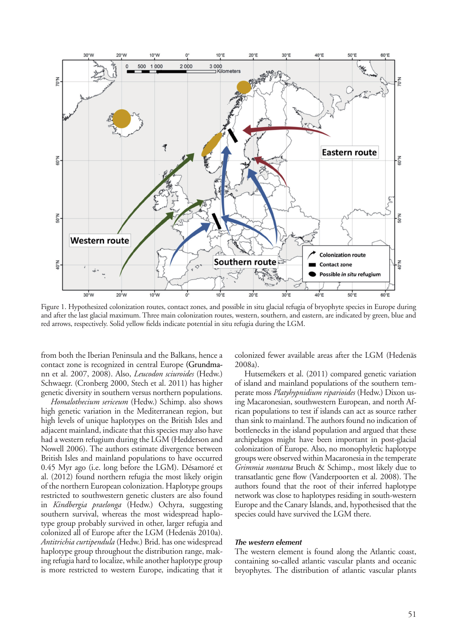

Figure 1. Hypothesized colonization routes, contact zones, and possible in situ glacial refugia of bryophyte species in Europe during and after the last glacial maximum. Three main colonization routes, western, southern, and eastern, are indicated by green, blue and red arrows, respectively. Solid yellow fields indicate potential in situ refugia during the LGM.

from both the Iberian Peninsula and the Balkans, hence a contact zone is recognized in central Europe (Grundmann et al. 2007, 2008). Also, *Leucodon sciuroides* (Hedw.) Schwaegr. (Cronberg 2000, Stech et al. 2011) has higher genetic diversity in southern versus northern populations.

*Homalothecium sericeum* (Hedw.) Schimp. also shows high genetic variation in the Mediterranean region, but high levels of unique haplotypes on the British Isles and adjacent mainland, indicate that this species may also have had a western refugium during the LGM (Hedderson and Nowell 2006). The authors estimate divergence between British Isles and mainland populations to have occurred 0.45 Myr ago (i.e. long before the LGM). Désamoré et al. (2012) found northern refugia the most likely origin of the northern European colonization. Haplotype groups restricted to southwestern genetic clusters are also found in *Kindbergia praelonga* (Hedw.) Ochyra, suggesting southern survival, whereas the most widespread haplotype group probably survived in other, larger refugia and colonized all of Europe after the LGM (Hedenäs 2010a). *Antitrichia curtipendula* (Hedw.) Brid. has one widespread haplotype group throughout the distribution range, making refugia hard to localize, while another haplotype group is more restricted to western Europe, indicating that it colonized fewer available areas after the LGM (Hedenäs 2008a).

Hutsemékers et al. (2011) compared genetic variation of island and mainland populations of the southern temperate moss *Platyhypnidium riparioides* (Hedw.) Dixon using Macaronesian, southwestern European, and north African populations to test if islands can act as source rather than sink to mainland. The authors found no indication of bottlenecks in the island population and argued that these archipelagos might have been important in post-glacial colonization of Europe. Also, no monophyletic haplotype groups were observed within Macaronesia in the temperate *Grimmia montana* Bruch & Schimp., most likely due to transatlantic gene flow (Vanderpoorten et al. 2008). The authors found that the root of their inferred haplotype network was close to haplotypes residing in south-western Europe and the Canary Islands, and, hypothesised that the species could have survived the LGM there.

#### *The western element*

The western element is found along the Atlantic coast, containing so-called atlantic vascular plants and oceanic bryophytes. The distribution of atlantic vascular plants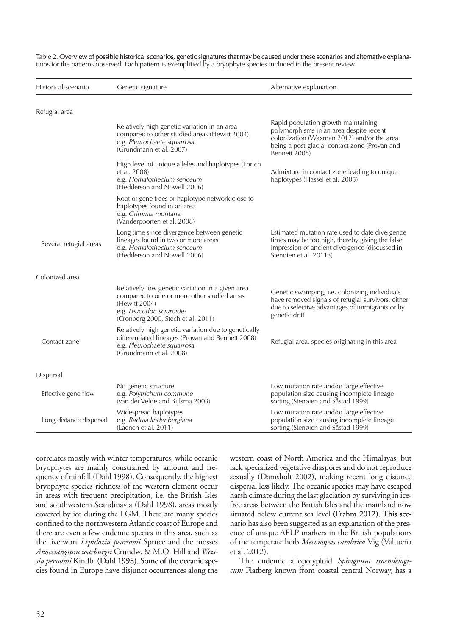| Historical scenario     | Genetic signature                                                                                                                                                                  | Alternative explanation                                                                                                                                                                        |
|-------------------------|------------------------------------------------------------------------------------------------------------------------------------------------------------------------------------|------------------------------------------------------------------------------------------------------------------------------------------------------------------------------------------------|
| Refugial area           |                                                                                                                                                                                    |                                                                                                                                                                                                |
|                         | Relatively high genetic variation in an area<br>compared to other studied areas (Hewitt 2004)<br>e.g. Pleurochaete squarrosa<br>(Grundmann et al. 2007)                            | Rapid population growth maintaining<br>polymorphisms in an area despite recent<br>colonization (Waxman 2012) and/or the area<br>being a post-glacial contact zone (Provan and<br>Bennett 2008) |
|                         | High level of unique alleles and haplotypes (Ehrich<br>et al. 2008)<br>e.g. Homalothecium sericeum<br>(Hedderson and Nowell 2006)                                                  | Admixture in contact zone leading to unique<br>haplotypes (Hassel et al. 2005)                                                                                                                 |
|                         | Root of gene trees or haplotype network close to<br>haplotypes found in an area<br>e.g. Grimmia montana<br>(Vanderpoorten et al. 2008)                                             |                                                                                                                                                                                                |
| Several refugial areas  | Long time since divergence between genetic<br>lineages found in two or more areas<br>e.g. Homalothecium sericeum<br>(Hedderson and Nowell 2006)                                    | Estimated mutation rate used to date divergence<br>times may be too high, thereby giving the false<br>impression of ancient divergence (discussed in<br>Stenøien et al. 2011a)                 |
| Colonized area          |                                                                                                                                                                                    |                                                                                                                                                                                                |
|                         | Relatively low genetic variation in a given area<br>compared to one or more other studied areas<br>(Hewitt 2004)<br>e.g. Leucodon sciuroides<br>(Cronberg 2000, Stech et al. 2011) | Genetic swamping, i.e. colonizing individuals<br>have removed signals of refugial survivors, either<br>due to selective advantages of immigrants or by<br>genetic drift                        |
| Contact zone            | Relatively high genetic variation due to genetically<br>differentiated lineages (Provan and Bennett 2008)<br>e.g. Pleurochaete squarrosa<br>(Grundmann et al. 2008)                | Refugial area, species originating in this area                                                                                                                                                |
| Dispersal               |                                                                                                                                                                                    |                                                                                                                                                                                                |
| Effective gene flow     | No genetic structure<br>e.g. Polytrichum commune<br>(van der Velde and Bijlsma 2003)                                                                                               | Low mutation rate and/or large effective<br>population size causing incomplete lineage<br>sorting (Stenøien and Såstad 1999)                                                                   |
| Long distance dispersal | Widespread haplotypes<br>e.g. Radula lindenbergiana<br>(Laenen et al. 2011)                                                                                                        | Low mutation rate and/or large effective<br>population size causing incomplete lineage<br>sorting (Stenøien and Såstad 1999)                                                                   |

Table 2. Overview of possible historical scenarios, genetic signatures that may be caused under these scenarios and alternative explanations for the patterns observed. Each pattern is exemplified by a bryophyte species included in the present review.

correlates mostly with winter temperatures, while oceanic bryophytes are mainly constrained by amount and frequency of rainfall (Dahl 1998). Consequently, the highest bryophyte species richness of the western element occur in areas with frequent precipitation, i.e. the British Isles and southwestern Scandinavia (Dahl 1998), areas mostly covered by ice during the LGM. There are many species confined to the northwestern Atlantic coast of Europe and there are even a few endemic species in this area, such as the liverwort *Lepidozia pearsonii* Spruce and the mosses *Anoectangium warburgii* Crundw. & M.O. Hill and *Weis*sia perssonii Kindb. (Dahl 1998). Some of the oceanic species found in Europe have disjunct occurrences along the western coast of North America and the Himalayas, but lack specialized vegetative diaspores and do not reproduce sexually (Damsholt 2002), making recent long distance dispersal less likely. The oceanic species may have escaped harsh climate during the last glaciation by surviving in icefree areas between the British Isles and the mainland now situated below current sea level (Frahm 2012). This scenario has also been suggested as an explanation of the presence of unique AFLP markers in the British populations of the temperate herb *Meconopsis cambrica* Vig (Valtueña et al. 2012).

The endemic allopolyploid *Sphagnum troendelagicum* Flatberg known from coastal central Norway, has a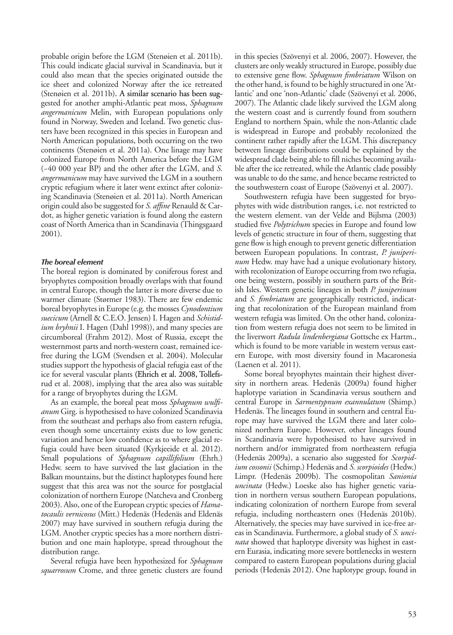probable origin before the LGM (Stenøien et al. 2011b). This could indicate glacial survival in Scandinavia, but it could also mean that the species originated outside the ice sheet and colonized Norway after the ice retreated (Stenøien et al. 2011b). A similar scenario has been suggested for another amphi-Atlantic peat moss, *Sphagnum angermanicum* Melin, with European populations only found in Norway, Sweden and Iceland. Two genetic clusters have been recognized in this species in European and North American populations, both occurring on the two continents (Stenøien et al. 2011a). One linage may have colonized Europe from North America before the LGM (~40 000 year BP) and the other after the LGM, and *S. angermanicum* may have survived the LGM in a southern cryptic refugium where it later went extinct after colonizing Scandinavia (Stenøien et al. 2011a). North American origin could also be suggested for *S. affine* Renauld & Cardot, as higher genetic variation is found along the eastern coast of North America than in Scandinavia (Thingsgaard 2001).

#### *The boreal element*

The boreal region is dominated by coniferous forest and bryophytes composition broadly overlaps with that found in central Europe, though the latter is more diverse due to warmer climate (Størmer 1983). There are few endemic boreal bryophytes in Europe (e.g. the mosses *Cynodontium suecicum* (Arnell & C.E.O. Jensen) I. Hagen and *Schistidium bryhnii* I. Hagen (Dahl 1998)), and many species are circumboreal (Frahm 2012). Most of Russia, except the westernmost parts and north-western coast, remained icefree during the LGM (Svendsen et al. 2004). Molecular studies support the hypothesis of glacial refugia east of the ice for several vascular plants (Ehrich et al. 2008, Tollefsrud et al. 2008), implying that the area also was suitable for a range of bryophytes during the LGM.

As an example, the boreal peat moss *Sphagnum wulfianum* Girg. is hypothesised to have colonized Scandinavia from the southeast and perhaps also from eastern refugia, even though some uncertainty exists due to low genetic variation and hence low confidence as to where glacial refugia could have been situated (Kyrkjeeide et al. 2012). Small populations of *Sphagnum capillifolium* (Ehrh.) Hedw. seem to have survived the last glaciation in the Balkan mountains, but the distinct haplotypes found here suggest that this area was not the source for postglacial colonization of northern Europe (Natcheva and Cronberg 2003). Also, one of the European cryptic species of *Hamatocaulis vernicosus* (Mitt.) Hedenäs (Hedenäs and Eldenäs 2007) may have survived in southern refugia during the LGM. Another cryptic species has a more northern distribution and one main haplotype, spread throughout the distribution range.

Several refugia have been hypothesized for *Sphagnum squarrosum* Crome, and three genetic clusters are found in this species (Szövenyi et al. 2006, 2007). However, the clusters are only weakly structured in Europe, possibly due to extensive gene flow. *Sphagnum fimbriatum* Wilson on the other hand, is found to be highly structured in one 'Atlantic' and one 'non-Atlantic' clade (Szövenyi et al. 2006, 2007). The Atlantic clade likely survived the LGM along the western coast and is currently found from southern England to northern Spain, while the non-Atlantic clade is widespread in Europe and probably recolonized the continent rather rapidly after the LGM. This discrepancy between lineage distributions could be explained by the widespread clade being able to fill niches becoming available after the ice retreated, while the Atlantic clade possibly was unable to do the same, and hence became restricted to the southwestern coast of Europe (Szövenyi et al. 2007).

Southwestern refugia have been suggested for bryophytes with wide distribution ranges, i.e. not restricted to the western element. van der Velde and Bijlsma (2003) studied five *Polytrichum* species in Europe and found low levels of genetic structure in four of them, suggesting that gene flow is high enough to prevent genetic differentiation between European populations. In contrast, *P. juniperinum* Hedw. may have had a unique evolutionary history, with recolonization of Europe occurring from two refugia, one being western, possibly in southern parts of the British Isles. Western genetic lineages in both *P. juniperinum* and *S. fimbriatum* are geographically restricted, indicating that recolonization of the European mainland from western refugia was limited. On the other hand, colonization from western refugia does not seem to be limited in the liverwort *Radula lindenbergiana* Gottsche ex Hartm., which is found to be more variable in western versus eastern Europe, with most diversity found in Macaronesia (Laenen et al. 2011).

Some boreal bryophytes maintain their highest diversity in northern areas. Hedenäs (2009a) found higher haplotype variation in Scandinavia versus southern and central Europe in *Sarmentypnum exannulatum* (Shimp.) Hedenäs. The lineages found in southern and central Europe may have survived the LGM there and later colonized northern Europe. However, other lineages found in Scandinavia were hypothesised to have survived in northern and/or immigrated from northeastern refugia (Hedenäs 2009a), a scenario also suggested for *Scorpidium cossonii* (Schimp.) Hedenäs and *S. scorpioides* (Hedw.) Limpr. (Hedenäs 2009b). The cosmopolitan *Sanionia uncinata* (Hedw.) Loeske also has higher genetic variation in northern versus southern European populations, indicating colonization of northern Europe from several refugia, including northeastern ones (Hedenäs 2010b). Alternatively, the species may have survived in ice-free areas in Scandinavia. Furthermore, a global study of *S. uncinata* showed that haplotype diversity was highest in eastern Eurasia, indicating more severe bottlenecks in western compared to eastern European populations during glacial periods (Hedenäs 2012). One haplotype group, found in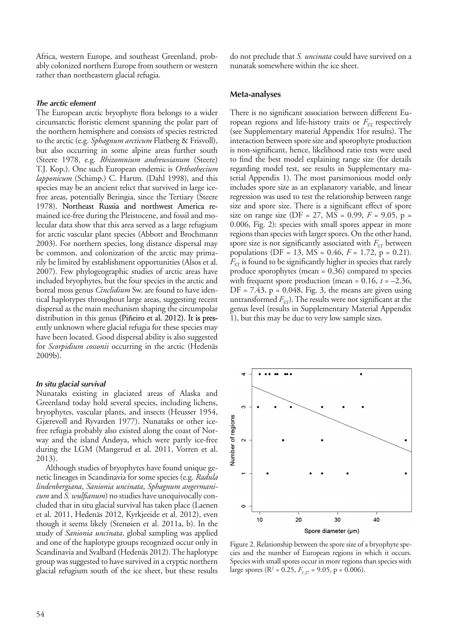Africa, western Europe, and southeast Greenland, probably colonized northern Europe from southern or western rather than northeastern glacial refugia.

#### *The arctic element*

The European arctic bryophyte flora belongs to a wider circumarctic floristic element spanning the polar part of the northern hemisphere and consists of species restricted to the arctic (e.g. *Sphagnum arcticum* Flatberg & Frisvoll), but also occurring in some alpine areas further south (Steere 1978, e.g. *Rhizomnium andrewsianum* (Steere) T.J. Kop.). One such European endemic is *Orthothecium lapponicum* (Schimp.) C. Hartm. (Dahl 1998), and this species may be an ancient relict that survived in large icefree areas, potentially Beringia, since the Tertiary (Steere 1978). Northeast Russia and northwest America remained ice-free during the Pleistocene, and fossil and molecular data show that this area served as a large refugium for arctic vascular plant species (Abbott and Brochmann 2003). For northern species, long distance dispersal may be common, and colonization of the arctic may primarily be limited by establishment opportunities (Alsos et al. 2007). Few phylogeographic studies of arctic areas have included bryophytes, but the four species in the arctic and boreal moss genus *Cinclidium* Sw. are found to have identical haplotypes throughout large areas, suggesting recent dispersal as the main mechanism shaping the circumpolar distribution in this genus (Piñeiro et al. 2012). It is presently unknown where glacial refugia for these species may have been located. Good dispersal ability is also suggested for *Scorpidium cossonii* occurring in the arctic (Hedenäs 2009b).

#### *In situ glacial survival*

Nunataks existing in glaciated areas of Alaska and Greenland today hold several species, including lichens, bryophytes, vascular plants, and insects (Heusser 1954, Gjærevoll and Ryvarden 1977). Nunataks or other icefree refugia probably also existed along the coast of Norway and the island Andøya, which were partly ice-free during the LGM (Mangerud et al. 2011, Vorren et al. 2013).

Although studies of bryophytes have found unique genetic lineages in Scandinavia for some species (e.g. *Radula lindenbergiana*, *Sanionia uncinata*, *Sphagnum angermanicum* and *S. wulfianum*) no studies have unequivocally concluded that in situ glacial survival has taken place (Laenen et al. 2011, Hedenäs 2012, Kyrkjeeide et al. 2012), even though it seems likely (Stenøien et al. 2011a, b). In the study of *Sanionia uncinata*, global sampling was applied and one of the haplotype groups recognized occur only in Scandinavia and Svalbard (Hedenäs 2012). The haplotype group was suggested to have survived in a cryptic northern glacial refugium south of the ice sheet, but these results do not preclude that *S. uncinata* could have survived on a nunatak somewhere within the ice sheet.

#### **Meta-analyses**

There is no significant association between different European regions and life-history traits or  $F_{ST}$  respectively (see Supplementary material Appendix 1for results). The interaction between spore size and sporophyte production is non-significant, hence, likelihood ratio tests were used to find the best model explaining range size (for details regarding model test, see results in Supplementary material Appendix 1). The most parsimonious model only includes spore size as an explanatory variable, and linear regression was used to test the relationship between range size and spore size. There is a significant effect of spore size on range size (DF = 27, MS = 0.99,  $F = 9.05$ ,  $p =$ 0.006, Fig. 2): species with small spores appear in more regions than species with larger spores. On the other hand, spore size is not significantly associated with  $F_{ST}$  between populations (DF = 13, MS = 0.46, *F* = 1.72, p = 0.21).  $F_{ST}$  is found to be significantly higher in species that rarely produce sporophytes (mean = 0.36) compared to species with frequent spore production (mean =  $0.16$ ,  $t = -2.36$ ,  $DF = 7.43$ ,  $p = 0.048$ , Fig. 3, the means are given using untransformed  $F_{ST}$ ). The results were not significant at the genus level (results in Supplementary Material Appendix 1), but this may be due to very low sample sizes.



Figure 2. Relationship between the spore size of a bryophyte species and the number of European regions in which it occurs. Species with small spores occur in more regions than species with large spores ( $R^2$  = 0.25,  $F_{1,27}$  = 9.05, p = 0.006).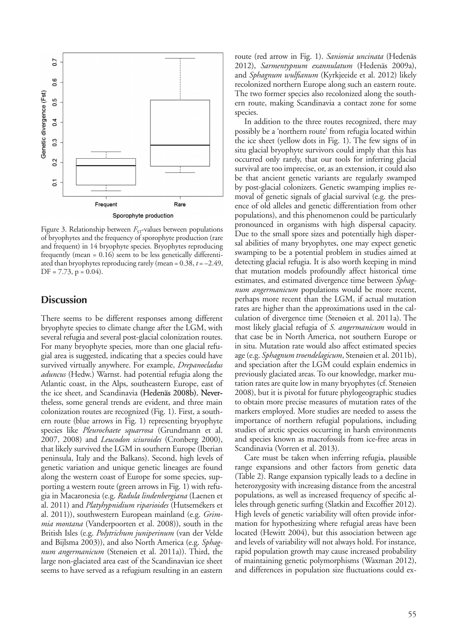

Figure 3. Relationship between  $F_{ST}$ -values between populations of bryophytes and the frequency of sporophyte production (rare and frequent) in 14 bryophyte species. Bryophytes reproducing frequently (mean = 0.16) seem to be less genetically differentiated than bryophytes reproducing rarely (mean  $= 0.38$ ,  $t = -2.49$ ,  $DF = 7.73$ ,  $p = 0.04$ ).

# **Discussion**

There seems to be different responses among different bryophyte species to climate change after the LGM, with several refugia and several post-glacial colonization routes. For many bryophyte species, more than one glacial refugial area is suggested, indicating that a species could have survived virtually anywhere. For example, *Drepanocladus aduncus* (Hedw.) Warnst. had potential refugia along the Atlantic coast, in the Alps, southeastern Europe, east of the ice sheet, and Scandinavia (Hedenäs 2008b). Nevertheless, some general trends are evident, and three main colonization routes are recognized (Fig. 1). First, a southern route (blue arrows in Fig. 1) representing bryophyte species like *Pleurochaete squarrosa* (Grundmann et al. 2007, 2008) and *Leucodon sciuroides* (Cronberg 2000), that likely survived the LGM in southern Europe (Iberian peninsula, Italy and the Balkans). Second, high levels of genetic variation and unique genetic lineages are found along the western coast of Europe for some species, supporting a western route (green arrows in Fig. 1) with refugia in Macaronesia (e.g. *Radula lindenbergiana* (Laenen et al. 2011) and *Platyhypnidium riparioides* (Hutsemékers et al. 2011)), southwestern European mainland (e.g. *Grimmia montana* (Vanderpoorten et al. 2008)), south in the British Isles (e.g. *Polytrichum juniperinum* (van der Velde and Bijlsma 2003)), and also North America (e.g. *Sphagnum angermanicum* (Stenøien et al. 2011a)). Third, the large non-glaciated area east of the Scandinavian ice sheet seems to have served as a refugium resulting in an eastern

route (red arrow in Fig. 1). *Sanionia uncinata* (Hedenäs 2012), *Sarmentypnum exannulatum* (Hedenäs 2009a), and *Sphagnum wulfianum* (Kyrkjeeide et al. 2012) likely recolonized northern Europe along such an eastern route. The two former species also recolonized along the southern route, making Scandinavia a contact zone for some species.

In addition to the three routes recognized, there may possibly be a 'northern route' from refugia located within the ice sheet (yellow dots in Fig. 1). The few signs of in situ glacial bryophyte survivors could imply that this has occurred only rarely, that our tools for inferring glacial survival are too imprecise, or, as an extension, it could also be that ancient genetic variants are regularly swamped by post-glacial colonizers. Genetic swamping implies removal of genetic signals of glacial survival (e.g. the presence of old alleles and genetic differentiation from other populations), and this phenomenon could be particularly pronounced in organisms with high dispersal capacity. Due to the small spore sizes and potentially high dispersal abilities of many bryophytes, one may expect genetic swamping to be a potential problem in studies aimed at detecting glacial refugia. It is also worth keeping in mind that mutation models profoundly affect historical time estimates, and estimated divergence time between *Sphagnum angermanicum* populations would be more recent, perhaps more recent than the LGM, if actual mutation rates are higher than the approximations used in the calculation of divergence time (Stenøien et al. 2011a). The most likely glacial refugia of *S. angermanicum* would in that case be in North America, not southern Europe or in situ. Mutation rate would also affect estimated species age (e.g. *Sphagnum troendelagicum*, Stenøien et al. 2011b), and speciation after the LGM could explain endemics in previously glaciated areas. To our knowledge, marker mutation rates are quite low in many bryophytes (cf. Stenøien 2008), but it is pivotal for future phylogeographic studies to obtain more precise measures of mutation rates of the markers employed. More studies are needed to assess the importance of northern refugial populations, including studies of arctic species occurring in harsh environments and species known as macrofossils from ice-free areas in Scandinavia (Vorren et al. 2013).

Care must be taken when inferring refugia, plausible range expansions and other factors from genetic data (Table 2). Range expansion typically leads to a decline in heterozygosity with increasing distance from the ancestral populations, as well as increased frequency of specific alleles through genetic surfing (Slatkin and Excoffier 2012). High levels of genetic variability will often provide information for hypothesizing where refugial areas have been located (Hewitt 2004), but this association between age and levels of variability will not always hold. For instance, rapid population growth may cause increased probability of maintaining genetic polymorphisms (Waxman 2012), and differences in population size fluctuations could ex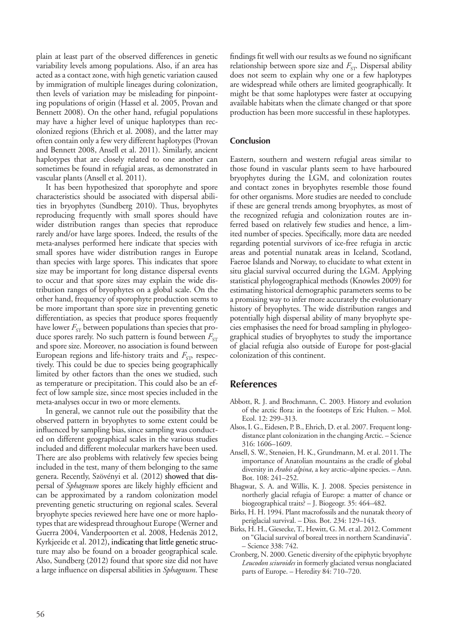plain at least part of the observed differences in genetic variability levels among populations. Also, if an area has acted as a contact zone, with high genetic variation caused by immigration of multiple lineages during colonization, then levels of variation may be misleading for pinpointing populations of origin (Hassel et al. 2005, Provan and Bennett 2008). On the other hand, refugial populations may have a higher level of unique haplotypes than recolonized regions (Ehrich et al. 2008), and the latter may often contain only a few very different haplotypes (Provan and Bennett 2008, Ansell et al. 2011). Similarly, ancient haplotypes that are closely related to one another can sometimes be found in refugial areas, as demonstrated in vascular plants (Ansell et al. 2011).

It has been hypothesized that sporophyte and spore characteristics should be associated with dispersal abilities in bryophytes (Sundberg 2010). Thus, bryophytes reproducing frequently with small spores should have wider distribution ranges than species that reproduce rarely and/or have large spores. Indeed, the results of the meta-analyses performed here indicate that species with small spores have wider distribution ranges in Europe than species with large spores. This indicates that spore size may be important for long distance dispersal events to occur and that spore sizes may explain the wide distribution ranges of bryophytes on a global scale. On the other hand, frequency of sporophyte production seems to be more important than spore size in preventing genetic differentiation, as species that produce spores frequently have lower  $F_{ST}$  between populations than species that produce spores rarely. No such pattern is found between  $F_{ST}$ and spore size. Moreover, no association is found between European regions and life-history traits and *F*<sub>ST</sub>, respectively. This could be due to species being geographically limited by other factors than the ones we studied, such as temperature or precipitation. This could also be an effect of low sample size, since most species included in the meta-analyses occur in two or more elements.

In general, we cannot rule out the possibility that the observed pattern in bryophytes to some extent could be influenced by sampling bias, since sampling was conducted on different geographical scales in the various studies included and different molecular markers have been used. There are also problems with relatively few species being included in the test, many of them belonging to the same genera. Recently, Szövényi et al. (2012) showed that dispersal of *Sphagnum* spores are likely highly efficient and can be approximated by a random colonization model preventing genetic structuring on regional scales. Several bryophyte species reviewed here have one or more haplotypes that are widespread throughout Europe (Werner and Guerra 2004, Vanderpoorten et al. 2008, Hedenäs 2012, Kyrkjeeide et al. 2012), indicating that little genetic structure may also be found on a broader geographical scale. Also, Sundberg (2012) found that spore size did not have a large influence on dispersal abilities in *Sphagnum*. These findings fit well with our results as we found no significant relationship between spore size and *F*<sub>ST</sub>. Dispersal ability does not seem to explain why one or a few haplotypes are widespread while others are limited geographically. It might be that some haplotypes were faster at occupying available habitats when the climate changed or that spore production has been more successful in these haplotypes.

#### **Conclusion**

Eastern, southern and western refugial areas similar to those found in vascular plants seem to have harboured bryophytes during the LGM, and colonization routes and contact zones in bryophytes resemble those found for other organisms. More studies are needed to conclude if these are general trends among bryophytes, as most of the recognized refugia and colonization routes are inferred based on relatively few studies and hence, a limited number of species. Specifically, more data are needed regarding potential survivors of ice-free refugia in arctic areas and potential nunatak areas in Iceland, Scotland, Faeroe Islands and Norway, to elucidate to what extent in situ glacial survival occurred during the LGM. Applying statistical phylogeographical methods (Knowles 2009) for estimating historical demographic parameters seems to be a promising way to infer more accurately the evolutionary history of bryophytes. The wide distribution ranges and potentially high dispersal ability of many bryophyte species emphasises the need for broad sampling in phylogeographical studies of bryophytes to study the importance of glacial refugia also outside of Europe for post-glacial colonization of this continent.

# **References**

- Abbott, R. J. and Brochmann, C. 2003. History and evolution of the arctic flora: in the footsteps of Eric Hulten. – Mol. Ecol. 12: 299–313.
- Alsos, I. G., Eidesen, P. B., Ehrich, D. et al. 2007. Frequent longdistance plant colonization in the changing Arctic. – Science 316: 1606–1609.
- Ansell, S. W., Stenøien, H. K., Grundmann, M. et al. 2011. The importance of Anatolian mountains as the cradle of global diversity in *Arabis alpina*, a key arctic–alpine species. – Ann. Bot. 108: 241–252.
- Bhagwat, S. A. and Willis, K. J. 2008. Species persistence in northerly glacial refugia of Europe: a matter of chance or biogeographical traits? – J. Biogeogr. 35: 464–482.
- Birks, H. H. 1994. Plant macrofossils and the nunatak theory of periglacial survival. – Diss. Bot. 234: 129–143.
- Birks, H. H., Giesecke, T., Hewitt, G. M. et al. 2012. Comment on "Glacial survival of boreal trees in northern Scandinavia". – Science 338: 742.
- Cronberg, N. 2000. Genetic diversity of the epiphytic bryophyte *Leucodon sciuroides* in formerly glaciated versus nonglaciated parts of Europe. – Heredity 84: 710–720.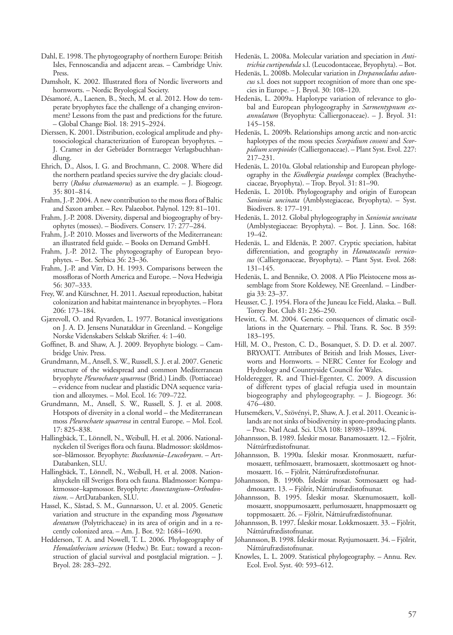- Dahl, E. 1998. The phytogeography of northern Europe: British Isles, Fennoscandia and adjacent areas. – Cambridge Univ. Press.
- Damsholt, K. 2002. Illustrated flora of Nordic liverworts and hornworts. – Nordic Bryological Society.
- Désamoré, A., Laenen, B., Stech, M. et al. 2012. How do temperate bryophytes face the challenge of a changing environment? Lessons from the past and predictions for the future. – Global Change Biol. 18: 2915–2924.
- Dierssen, K. 2001. Distribution, ecological amplitude and phytosociological characterization of European bryophytes. – J. Cramer in der Gebrüder Borntraeger Verlagsbuchhandlung.
- Ehrich, D., Alsos, I. G. and Brochmann, C. 2008. Where did the northern peatland species survive the dry glacials: cloudberry (*Rubus chamaemorus*) as an example. – J. Biogeogr. 35: 801–814.
- Frahm, J.-P. 2004. A new contribution to the moss flora of Baltic and Saxon amber. – Rev. Palaeobot. Palynol. 129: 81–101.
- Frahm, J.-P. 2008. Diversity, dispersal and biogeography of bryophytes (mosses). – Biodivers. Conserv. 17: 277–284.
- Frahm, J.-P. 2010. Mosses and liverworts of the Mediterranean: an illustrated field guide. – Books on Demand GmbH.
- Frahm, J.-P. 2012. The phytogeography of European bryophytes. – Bot. Serbica 36: 23–36.
- Frahm, J.-P. and Vitt, D. H. 1993. Comparisons between the mossfloras of North America and Europe. – Nova Hedwigia 56: 307–333.
- Frey, W. and Kürschner, H. 2011. Asexual reproduction, habitat colonization and habitat maintenance in bryophytes. – Flora 206: 173–184.
- Gjærevoll, O. and Ryvarden, L. 1977. Botanical investigations on J. A. D. Jensens Nunatakkar in Greenland. – Kongelige Norske Videnskabers Selskab Skrifter. 4: 1–40.
- Goffinet, B. and Shaw, A. J. 2009. Bryophyte biology. Cambridge Univ. Press.
- Grundmann, M., Ansell, S. W., Russell, S. J. et al. 2007. Genetic structure of the widespread and common Mediterranean bryophyte *Pleurochaete squarrosa* (Brid.) Lindb. (Pottiaceae) – evidence from nuclear and plastidic DNA sequence variation and allozymes. – Mol. Ecol. 16: 709–722.
- Grundmann, M., Ansell, S. W., Russell, S. J. et al. 2008. Hotspots of diversity in a clonal world – the Mediterranean moss *Pleurochaete squarrosa* in central Europe. – Mol. Ecol. 17: 825–838.
- Hallingbäck, T., Lönnell, N., Weibull, H. et al. 2006. Nationalnyckelen til Sveriges flora och fauna. Bladmossor: sköldmossor–blåmossor. Bryophyte: *Buxbaumia–Leucobryum*. – Art-Databanken, SLU.
- Hallingbäck, T., Lönnell, N., Weibull, H. et al. 2008. Nationalnyckeln till Sveriges flora och fauna. Bladmossor: Kompaktmossor–kapmossor. Bryophyte: *Anoectangium–Orthodontium*. – ArtDatabanken, SLU.
- Hassel, K., Såstad, S. M., Gunnarsson, U. et al. 2005. Genetic variation and structure in the expanding moss *Pogonatum dentatum* (Polytrichaceae) in its area of origin and in a recently colonized area. – Am. J. Bot. 92: 1684–1690.
- Hedderson, T. A. and Nowell, T. L. 2006. Phylogeography of *Homalothecium sericeum* (Hedw.) Br. Eur.; toward a reconstruction of glacial survival and postglacial migration. – J. Bryol. 28: 283–292.
- Hedenäs, L. 2008a. Molecular variation and speciation in *Antitrichia curtipendula* s.l. (Leucodontaceae, Bryophyta). – Bot.
- Hedenäs, L. 2008b. Molecular variation in *Drepanocladus aduncus* s.l. does not support recognition of more than one species in Europe. – J. Bryol. 30: 108–120.
- Hedenäs, L. 2009a. Haplotype variation of relevance to global and European phylogeography in *Sarmentypnum exannulatum* (Bryophyta: Calliergonaceae). – J. Bryol. 31: 145–158.
- Hedenäs, L. 2009b. Relationships among arctic and non-arctic haplotypes of the moss species *Scorpidium cossoni* and *Scorpidium scorpioides* (Calliergonaceae). – Plant Syst. Evol. 227: 217–231.
- Hedenäs, L. 2010a. Global relationship and European phylogeography in the *Kindbergia praelonga* complex (Brachytheciaceae, Bryophyta). – Trop. Bryol. 31: 81–90.
- Hedenäs, L. 2010b. Phylogeography and origin of European *Sanionia uncinata* (Amblystegiaceae, Bryophyta). – Syst. Biodivers. 8: 177–191.
- Hedenäs, L. 2012. Global phylogeography in *Sanionia uncinata*  (Amblystegiaceae: Bryophyta). – Bot. J. Linn. Soc. 168: 19–42.
- Hedenäs, L. and Eldenäs, P. 2007. Cryptic speciation, habitat differentiation, and geography in *Hamatocaulis vernicosus* (Calliergonaceae, Bryophyta). – Plant Syst. Evol. 268: 131–145.
- Hedenäs, L. and Bennike, O. 2008. A Plio Pleistocene moss assemblage from Store Koldewey, NE Greenland. – Lindbergia 33: 23–37.
- Heusser, C. J. 1954. Flora of the Juneau Ice Field, Alaska. Bull. Torrey Bot. Club 81: 236–250.
- Hewitt, G. M. 2004. Genetic consequences of climatic oscillations in the Quaternary. – Phil. Trans. R. Soc. B 359: 183–195.
- Hill, M. O., Preston, C. D., Bosanquet, S. D. D. et al. 2007. BRYOATT. Attributes of British and Irish Mosses, Liverworts and Hornworts. – NERC Center for Ecology and Hydrology and Countryside Council for Wales.
- Holderegger, R. and Thiel-Egenter, C. 2009. A discussion of different types of glacial refugia used in mountain biogeography and phylogeography. – J. Biogeogr. 36: 476–480.
- Hutsemékers, V., Szövényi, P., Shaw, A. J. et al. 2011. Oceanic islands are not sinks of biodiversity in spore-producing plants. – Proc. Natl Acad. Sci. USA 108: 18989–18994.
- Jóhannsson, B. 1989. Ísleskir mosar. Banamosaætt. 12. Fjölrit, Náttúrfrædistofnunar.
- Jóhannsson, B. 1990a. Ísleskir mosar. Kronmosaætt, næfurmosaætt, tæfilmosaætt, bramosaætt, skottmosaætt og hnotmosaætt. 16. – Fjölrit, Náttúrufrædistofnunar.
- Jóhannsson, B. 1990b. Ísleskir mosar. Sotmosaætt og haddmosaætt. 13. – Fjölrit, Náttúrufrædistofnunar.
- Jóhannsson, B. 1995. Ísleskir mosar. Skænumosaætt, kollmosaætt, snoppumosaætt, perlumosaætt, hnappmosaætt og toppmosaætt. 26. – Fjölrit, Náttúrufrædistofnunar.
- Jóhannsson, B. 1997. Ísleskir mosar. Lokkmosaætt. 33. Fjölrit, Náttúrufrædistofnunar.
- Jóhannsson, B. 1998. Ísleskir mosar. Rytjumosaætt. 34. Fjölrit, Náttúrufrædistofnunar.
- Knowles, L. L. 2009. Statistical phylogeography. Annu. Rev. Ecol. Evol. Syst. 40: 593–612.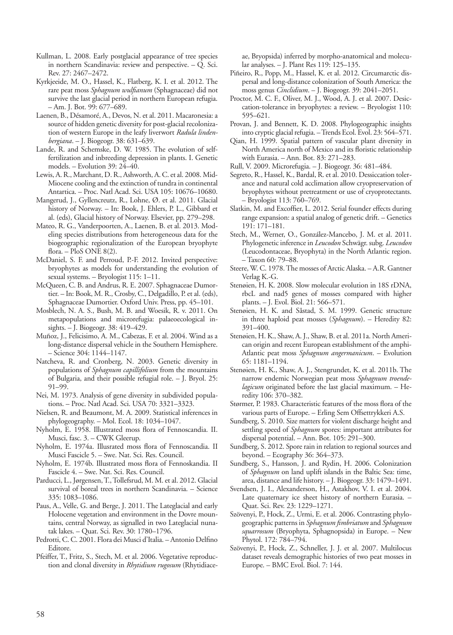- Kullman, L. 2008. Early postglacial appearance of tree species in northern Scandinavia: review and perspective. – Q. Sci. Rev. 27: 2467–2472.
- Kyrkjeeide, M. O., Hassel, K., Flatberg, K. I. et al. 2012. The rare peat moss *Sphagnum wulfianum* (Sphagnaceae) did not survive the last glacial period in northern European refugia. – Am. J. Bot. 99: 677–689.
- Laenen, B., Désamoré, A., Devos, N. et al. 2011. Macaronesia: a source of hidden genetic diversity for post-glacial recolonization of western Europe in the leafy liverwort *Radula lindenbergiana*. – J. Biogeogr. 38: 631–639.
- Lande, R. and Schemske, D. W. 1985. The evolution of selffertilization and inbreeding depression in plants. I. Genetic models. – Evolution 39: 24–40.
- Lewis, A. R., Marchant, D. R., Ashworth, A. C. et al. 2008. Mid-Miocene cooling and the extinction of tundra in continental Antartica. – Proc. Natl Acad. Sci. USA 105: 10676–10680.
- Mangerud, J., Gyllencreutz, R., Lohne, Ø. et al. 2011. Glacial history of Norway. – In: Book, J. Ehlers, P. L., Gibbard et al. (eds), Glacial history of Norway. Elsevier, pp. 279–298.
- Mateo, R. G., Vanderpoorten, A., Laenen, B. et al. 2013. Modeling species distributions from heterogeneous data for the biogeographic regionalization of the European bryophyte flora. – PloS ONE 8(2).
- McDaniel, S. F. and Perroud, P.-F. 2012. Invited perspective: bryophytes as models for understanding the evolution of sexual systems. – Bryologist 115: 1–11.
- McQueen, C. B. and Andrus, R. E. 2007. Sphagnaceae Dumortier. – In: Book, M. R., Crosby, C., Delgadillo, P. et al. (eds), Sphagnaceae Dumortier. Oxford Univ. Press, pp. 45–101.
- Mosblech, N. A. S., Bush, M. B. and Woesik, R. v. 2011. On metapopulations and microrefugia: palaeoecological insights. – J. Biogeogr. 38: 419–429.
- Muñoz, J., Felicisimo, A. M., Cabezas, F. et al. 2004. Wind as a long-distance dispersal vehicle in the Southern Hemisphere. – Science 304: 1144–1147.
- Natcheva, R. and Cronberg, N. 2003. Genetic diversity in populations of *Sphagnum capillifolium* from the mountains of Bulgaria, and their possible refugial role. – J. Bryol. 25: 91–99.
- Nei, M. 1973. Analysis of gene diversity in subdivided populations. – Proc. Natl Acad. Sci. USA 70: 3321–3323.
- Nielsen, R. and Beaumont, M. A. 2009. Statistical inferences in phylogeography. – Mol. Ecol. 18: 1034–1047.
- Nyholm, E. 1958. Illustrated moss flora of Fennoscandia. II. Musci, fasc. 3. – CWK Gleerup.
- Nyholm, E. 1974a. Illusrated moss flora of Fennoscandia. II Musci Fascicle 5. – Swe. Nat. Sci. Res. Council.
- Nyholm, E. 1974b. Illustrated moss flora of Fennoskandia. II Fascicle 4. – Swe. Nat. Sci. Res. Council.
- Parducci, L., Jørgensen, T., Tollefsrud, M. M. et al. 2012. Glacial survival of boreal trees in northern Scandinavia. – Science 335: 1083–1086.
- Paus, A., Velle, G. and Berge, J. 2011. The Lateglacial and early Holocene vegetation and environment in the Dovre mountains, central Norway, as signalled in two Lateglacial nunatak lakes. – Quat. Sci. Rev. 30: 1780–1796.
- Pedrotti, C. C. 2001. Flora dei Musci d'Italia. Antonio Delfino Editore.
- Pfeiffer, T., Fritz, S., Stech, M. et al. 2006. Vegetative reproduction and clonal diversity in *Rhytidium rugosum* (Rhytidiace-

ae, Bryopsida) inferred by morpho-anatomical and molecular analyses. – J. Plant Res 119: 125–135.

- Piñeiro, R., Popp, M., Hassel, K. et al. 2012. Circumarctic dispersal and long-distance colonization of South America: the moss genus *Cinclidium*. – J. Biogeogr. 39: 2041–2051.
- Proctor, M. C. F., Oliver, M. J., Wood, A. J. et al. 2007. Desiccation-tolerance in bryophytes: a review. – Bryologist 110: 595–621.
- Provan, J. and Bennett, K. D. 2008. Phylogeographic insights into cryptic glacial refugia. – Trends Ecol. Evol. 23: 564–571.
- Qian, H. 1999. Spatial pattern of vascular plant diversity in North America north of Mexico and its floristic relationship with Eurasia. – Ann. Bot. 83: 271–283.
- Rull, V. 2009. Microrefugia. J. Biogeogr. 36: 481–484.
- Segreto, R., Hassel, K., Bardal, R. et al. 2010. Dessiccation tolerance and natural cold acclimation allow cryopreservation of bryophytes without pretreatment or use of cryoprotectants. – Bryologist 113: 760–769.
- Slatkin, M. and Excoffier, L. 2012. Serial founder effects during range expansion: a spatial analog of genetic drift. – Genetics 191: 171–181.
- Stech, M., Werner, O., González-Mancebo, J. M. et al. 2011. Phylogenetic inference in *Leucodon* Schwägr. subg. *Leucodon* (Leucodontaceae, Bryophyta) in the North Atlantic region. – Taxon 60: 79–88.
- Steere, W. C. 1978. The mosses of Arctic Alaska. A.R. Gantner Verlag K.-G.
- Stenøien, H. K. 2008. Slow molecular evolution in 18S rDNA, rbcL and nad5 genes of mosses compared with higher plants. – J. Evol. Biol. 21: 566–571.
- Stenøien, H. K. and Såstad, S. M. 1999. Genetic structure in three haploid peat mosses (*Sphagnum*). – Heredity 82: 391–400.
- Stenøien, H. K., Shaw, A. J., Shaw, B. et al. 2011a. North American origin and recent European establishment of the amphi-Atlantic peat moss *Sphagnum angermanicum*. – Evolution 65: 1181–1194.
- Stenøien, H. K., Shaw, A. J., Stengrundet, K. et al. 2011b. The narrow endemic Norwegian peat moss *Sphagnum troendelagicum* originated before the last glacial maximum. – Heredity 106: 370–382.
- Størmer, P. 1983. Characteristic features of the moss flora of the various parts of Europe. – Erling Sem Offsettrykkeri A.S.
- Sundberg, S. 2010. Size matters for violent discharge height and settling speed of *Sphagnum* spores: important attributes for dispersal potential. – Ann. Bot. 105: 291–300.
- Sundberg, S. 2012. Spore rain in relation to regional sources and beyond. – Ecography 36: 364–373.
- Sundberg, S., Hansson, J. and Rydin, H. 2006. Colonization of *Sphagnum* on land uplift islands in the Baltic Sea: time, area, distance and life history. – J. Biogeogr. 33: 1479–1491.
- Svendsen, J. I., Alexanderson, H., Astakhov, V. I. et al. 2004. Late quaternary ice sheet history of northern Eurasia. – Quat. Sci. Rev. 23: 1229–1271.
- Szövenyi, P., Hock, Z., Urmi, E. et al. 2006. Contrasting phylogeographic patterns in *Sphagnum fimbriatum* and *Sphagnum squarrosum* (Bryophyta, Sphagnopsida) in Europe. – New Phytol. 172: 784–794.
- Szövenyi, P., Hock, Z., Schneller, J. J. et al. 2007. Multilocus dataset reveals demographic histories of two peat mosses in Europe. – BMC Evol. Biol. 7: 144.